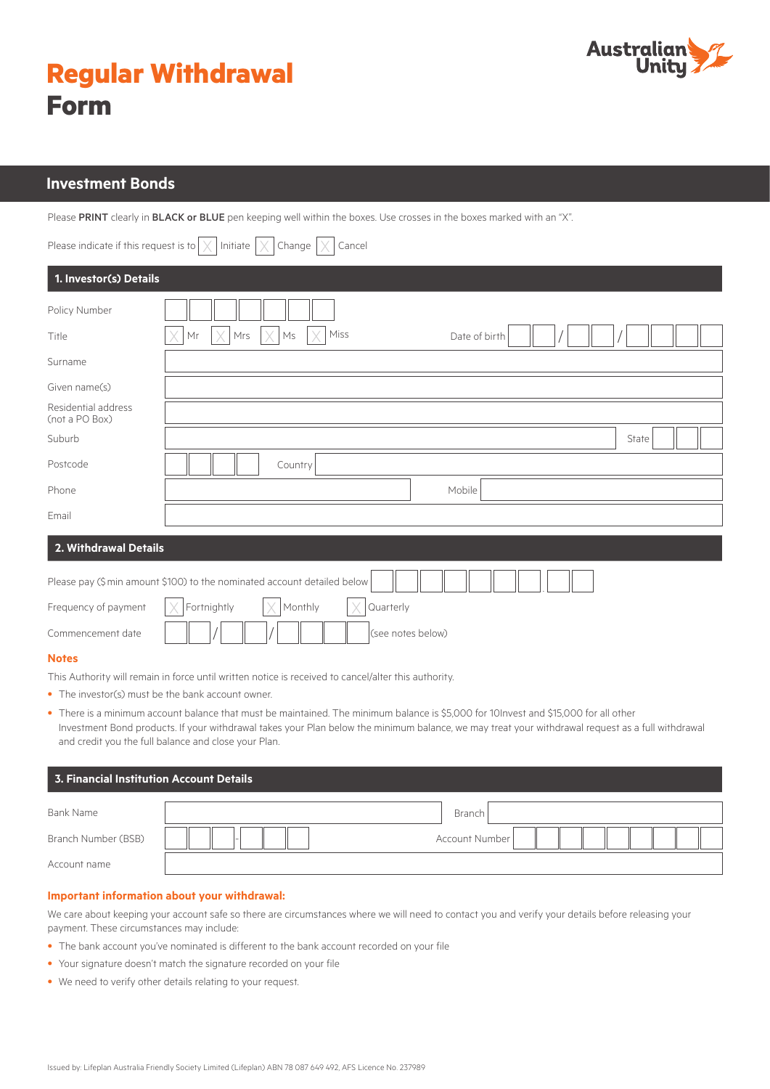

|             | <b>Regular Withdrawal</b> |
|-------------|---------------------------|
| <b>Form</b> |                           |

# **Investment Bonds**

Please PRINT clearly in BLACK or BLUE pen keeping well within the boxes. Use crosses in the boxes marked with an "X".

| Please indicate if this request is to | Initiate<br>Change<br>Cancel<br>X                                        |
|---------------------------------------|--------------------------------------------------------------------------|
| 1. Investor(s) Details                |                                                                          |
| Policy Number                         |                                                                          |
| Title                                 | Miss<br>Mr<br>Mrs<br>Ms<br>Date of birth                                 |
| Surname                               |                                                                          |
| Given name(s)                         |                                                                          |
| Residential address<br>(not a PO Box) |                                                                          |
| Suburb                                | State                                                                    |
| Postcode                              | Country                                                                  |
| Phone                                 | Mobile                                                                   |
| Email                                 |                                                                          |
| 2. Withdrawal Details                 |                                                                          |
|                                       | Please pay (\$ min amount \$100) to the nominated account detailed below |
| Frequency of payment                  | Fortnightly<br>Quarterly<br>Monthly                                      |
| Commencement date                     | (see notes below)                                                        |
| <b>Notes</b>                          |                                                                          |
|                                       |                                                                          |

This Authority will remain in force until written notice is received to cancel/alter this authority.

- The investor(s) must be the bank account owner.
- There is a minimum account balance that must be maintained. The minimum balance is \$5,000 for 10Invest and \$15,000 for all other Investment Bond products. If your withdrawal takes your Plan below the minimum balance, we may treat your withdrawal request as a full withdrawal and credit you the full balance and close your Plan.

| $\,$ 3. Financial Institution Account Details $\,$ |  |                |  |  |  |
|----------------------------------------------------|--|----------------|--|--|--|
| Bank Name                                          |  | Branch         |  |  |  |
| Branch Number (BSB)                                |  | Account Number |  |  |  |
| Account name                                       |  |                |  |  |  |

## **Important information about your withdrawal:**

We care about keeping your account safe so there are circumstances where we will need to contact you and verify your details before releasing your payment. These circumstances may include:

- The bank account you've nominated is different to the bank account recorded on your file
- Your signature doesn't match the signature recorded on your file
- We need to verify other details relating to your request.